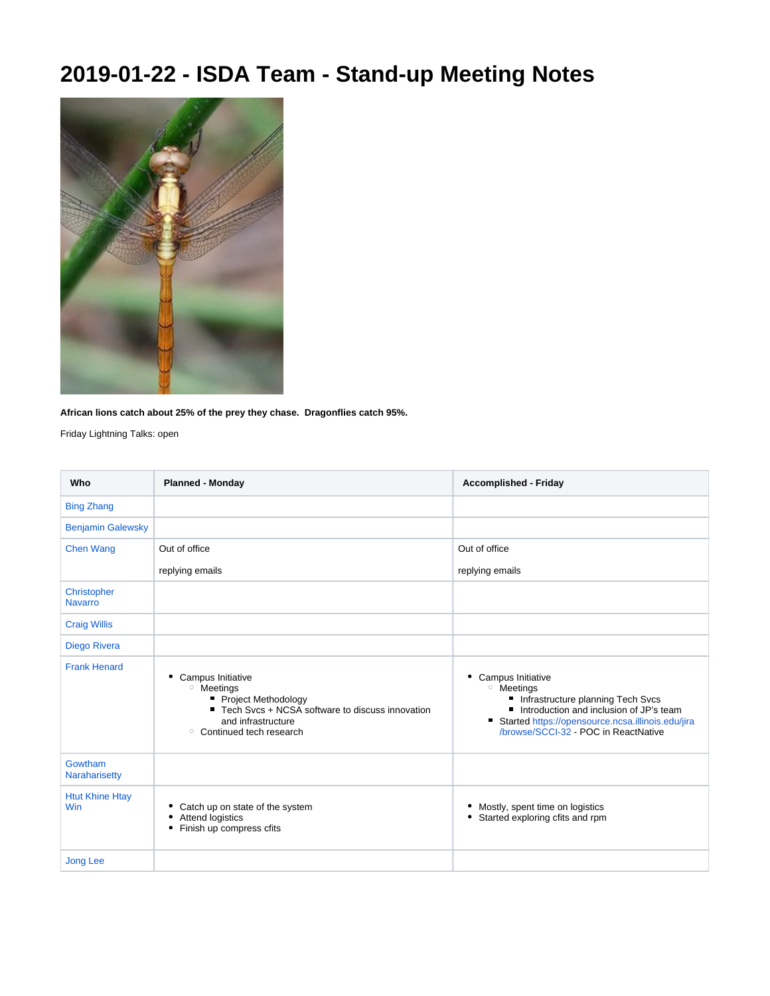## **2019-01-22 - ISDA Team - Stand-up Meeting Notes**



**African lions catch about 25% of the prey they chase. Dragonflies catch 95%.**

Friday Lightning Talks: open

| Who                           | <b>Planned - Monday</b>                                                                                                                                                        | <b>Accomplished - Friday</b>                                                                                                                                                                                                 |
|-------------------------------|--------------------------------------------------------------------------------------------------------------------------------------------------------------------------------|------------------------------------------------------------------------------------------------------------------------------------------------------------------------------------------------------------------------------|
| <b>Bing Zhang</b>             |                                                                                                                                                                                |                                                                                                                                                                                                                              |
| <b>Benjamin Galewsky</b>      |                                                                                                                                                                                |                                                                                                                                                                                                                              |
| <b>Chen Wang</b>              | Out of office                                                                                                                                                                  | Out of office                                                                                                                                                                                                                |
|                               | replying emails                                                                                                                                                                | replying emails                                                                                                                                                                                                              |
| Christopher<br><b>Navarro</b> |                                                                                                                                                                                |                                                                                                                                                                                                                              |
| <b>Craig Willis</b>           |                                                                                                                                                                                |                                                                                                                                                                                                                              |
| <b>Diego Rivera</b>           |                                                                                                                                                                                |                                                                                                                                                                                                                              |
| <b>Frank Henard</b>           | Campus Initiative<br>٠<br><sup>o</sup> Meetings<br>Project Methodology<br>■ Tech Svcs + NCSA software to discuss innovation<br>and infrastructure<br>○ Continued tech research | Campus Initiative<br>٠<br><sup>o</sup> Meetings<br>Infrastructure planning Tech Svcs<br>Introduction and inclusion of JP's team<br>Started https://opensource.ncsa.illinois.edu/jira<br>/browse/SCCI-32 - POC in ReactNative |
| Gowtham<br>Naraharisetty      |                                                                                                                                                                                |                                                                                                                                                                                                                              |
| <b>Htut Khine Htay</b><br>Win | Catch up on state of the system<br>Attend logistics<br>Finish up compress cfits                                                                                                | Mostly, spent time on logistics<br>Started exploring cfits and rpm                                                                                                                                                           |
| <b>Jong Lee</b>               |                                                                                                                                                                                |                                                                                                                                                                                                                              |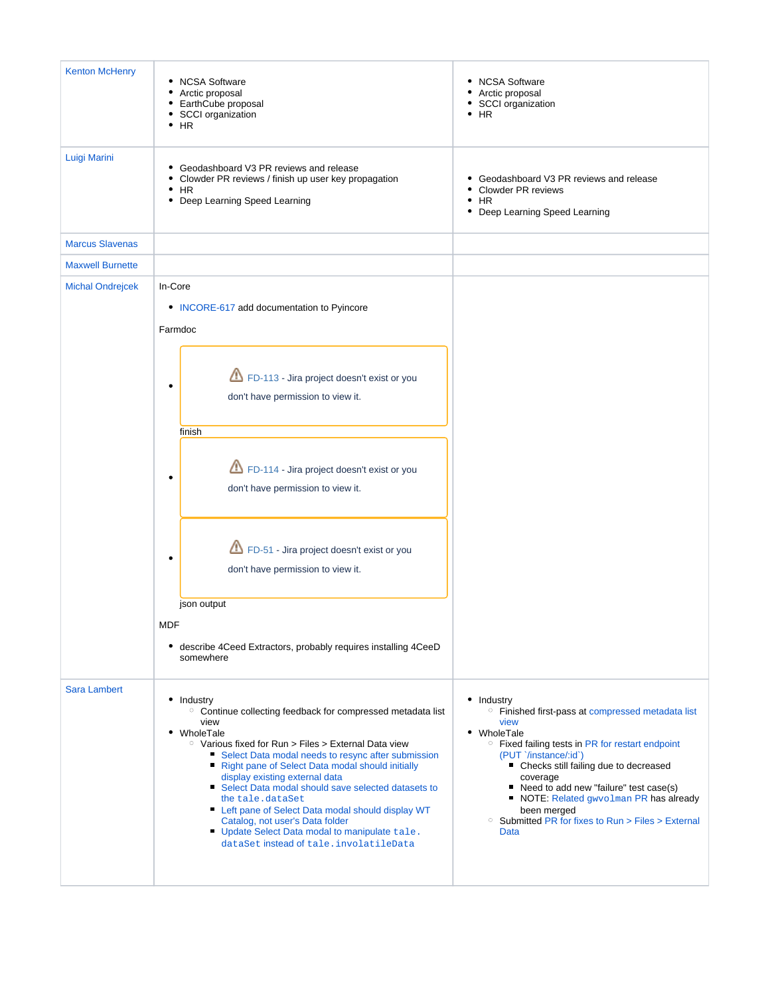| <b>Kenton McHenry</b>   | <b>NCSA Software</b><br>Arctic proposal<br>٠<br>EarthCube proposal<br>٠<br>SCCI organization<br>$\bullet$ HR                                                                                                                                                                                                                                                                                                                                                                                                                                                                        | • NCSA Software<br>• Arctic proposal<br>· SCCI organization<br>$\bullet$ HR                                                                                                                                                                                                                                                                                                                                                      |
|-------------------------|-------------------------------------------------------------------------------------------------------------------------------------------------------------------------------------------------------------------------------------------------------------------------------------------------------------------------------------------------------------------------------------------------------------------------------------------------------------------------------------------------------------------------------------------------------------------------------------|----------------------------------------------------------------------------------------------------------------------------------------------------------------------------------------------------------------------------------------------------------------------------------------------------------------------------------------------------------------------------------------------------------------------------------|
| Luigi Marini            | Geodashboard V3 PR reviews and release<br>Clowder PR reviews / finish up user key propagation<br>$\cdot$ HR<br>Deep Learning Speed Learning                                                                                                                                                                                                                                                                                                                                                                                                                                         | • Geodashboard V3 PR reviews and release<br>• Clowder PR reviews<br>$\cdot$ HR<br>Deep Learning Speed Learning                                                                                                                                                                                                                                                                                                                   |
| <b>Marcus Slavenas</b>  |                                                                                                                                                                                                                                                                                                                                                                                                                                                                                                                                                                                     |                                                                                                                                                                                                                                                                                                                                                                                                                                  |
| <b>Maxwell Burnette</b> |                                                                                                                                                                                                                                                                                                                                                                                                                                                                                                                                                                                     |                                                                                                                                                                                                                                                                                                                                                                                                                                  |
| <b>Michal Ondrejcek</b> | In-Core<br>• INCORE-617 add documentation to Pyincore<br>Farmdoc                                                                                                                                                                                                                                                                                                                                                                                                                                                                                                                    |                                                                                                                                                                                                                                                                                                                                                                                                                                  |
|                         | FD-113 - Jira project doesn't exist or you<br>٠<br>don't have permission to view it.<br>finish                                                                                                                                                                                                                                                                                                                                                                                                                                                                                      |                                                                                                                                                                                                                                                                                                                                                                                                                                  |
|                         | FD-114 - Jira project doesn't exist or you<br>٠<br>don't have permission to view it.                                                                                                                                                                                                                                                                                                                                                                                                                                                                                                |                                                                                                                                                                                                                                                                                                                                                                                                                                  |
|                         | FD-51 - Jira project doesn't exist or you<br>don't have permission to view it.                                                                                                                                                                                                                                                                                                                                                                                                                                                                                                      |                                                                                                                                                                                                                                                                                                                                                                                                                                  |
|                         | json output                                                                                                                                                                                                                                                                                                                                                                                                                                                                                                                                                                         |                                                                                                                                                                                                                                                                                                                                                                                                                                  |
|                         | <b>MDF</b><br>• describe 4Ceed Extractors, probably requires installing 4CeeD<br>somewhere                                                                                                                                                                                                                                                                                                                                                                                                                                                                                          |                                                                                                                                                                                                                                                                                                                                                                                                                                  |
| <b>Sara Lambert</b>     | • Industry<br><sup>o</sup> Continue collecting feedback for compressed metadata list<br>view<br>• WholeTale<br>$\circ$ Various fixed for Run > Files > External Data view<br>• Select Data modal needs to resync after submission<br>Right pane of Select Data modal should initially<br>display existing external data<br>Select Data modal should save selected datasets to<br>the tale.dataSet<br>Left pane of Select Data modal should display WT<br>Catalog, not user's Data folder<br>Update Select Data modal to manipulate tale.<br>dataSet instead of tale. involatileData | • Industry<br><sup>o</sup> Finished first-pass at compressed metadata list<br>view<br>• WholeTale<br><sup>o</sup> Fixed failing tests in PR for restart endpoint<br>(PUT `/instance/:id`)<br>• Checks still failing due to decreased<br>coverage<br>Need to add new "failure" test case(s)<br>п<br>NOTE: Related gwvolman PR has already<br>been merged<br><sup>o</sup> Submitted PR for fixes to Run > Files > External<br>Data |